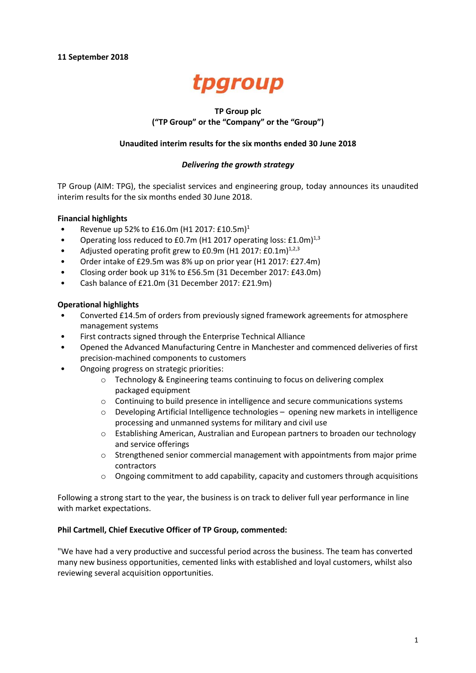

## **TP Group plc ("TP Group" or the "Company" or the "Group")**

## **Unaudited interim results for the six months ended 30 June 2018**

## *Delivering the growth strategy*

TP Group (AIM: TPG), the specialist services and engineering group, today announces its unaudited interim results for the six months ended 30 June 2018.

## **Financial highlights**

- Revenue up 52% to £16.0m (H1 2017: £10.5m)<sup>1</sup>
- Operating loss reduced to £0.7m (H1 2017 operating loss: £1.0m) $^{1,3}$
- Adjusted operating profit grew to  $E0.9$ m (H1 2017:  $E0.1$ m)<sup>1,2,3</sup>
- Order intake of £29.5m was 8% up on prior year (H1 2017: £27.4m)
- Closing order book up 31% to £56.5m (31 December 2017: £43.0m)
- Cash balance of £21.0m (31 December 2017: £21.9m)

## **Operational highlights**

- Converted £14.5m of orders from previously signed framework agreements for atmosphere management systems
- First contracts signed through the Enterprise Technical Alliance
- Opened the Advanced Manufacturing Centre in Manchester and commenced deliveries of first precision-machined components to customers
- Ongoing progress on strategic priorities:
	- o Technology & Engineering teams continuing to focus on delivering complex packaged equipment
	- $\circ$  Continuing to build presence in intelligence and secure communications systems
	- o Developing Artificial Intelligence technologies opening new markets in intelligence processing and unmanned systems for military and civil use
	- o Establishing American, Australian and European partners to broaden our technology and service offerings
	- o Strengthened senior commercial management with appointments from major prime contractors
	- o Ongoing commitment to add capability, capacity and customers through acquisitions

Following a strong start to the year, the business is on track to deliver full year performance in line with market expectations.

## **Phil Cartmell, Chief Executive Officer of TP Group, commented:**

"We have had a very productive and successful period across the business. The team has converted many new business opportunities, cemented links with established and loyal customers, whilst also reviewing several acquisition opportunities.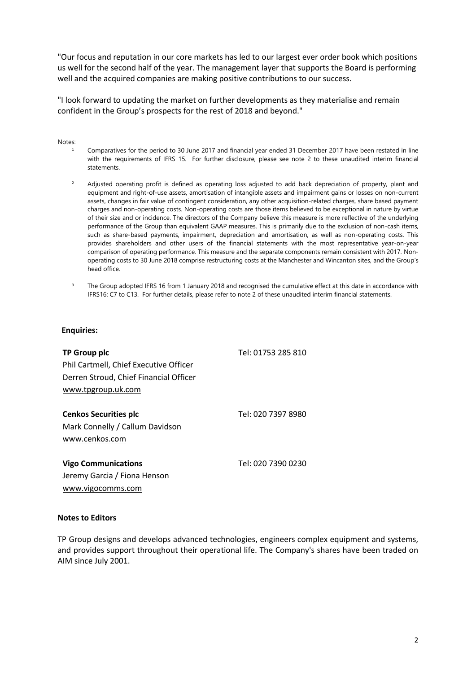"Our focus and reputation in our core markets has led to our largest ever order book which positions us well for the second half of the year. The management layer that supports the Board is performing well and the acquired companies are making positive contributions to our success.

"I look forward to updating the market on further developments as they materialise and remain confident in the Group's prospects for the rest of 2018 and beyond."

### Notes:

- Comparatives for the period to 30 June 2017 and financial year ended 31 December 2017 have been restated in line with the requirements of IFRS 15. For further disclosure, please see note 2 to these unaudited interim financial statements.
- <sup>2</sup> Adjusted operating profit is defined as operating loss adjusted to add back depreciation of property, plant and equipment and right-of-use assets, amortisation of intangible assets and impairment gains or losses on non-current assets, changes in fair value of contingent consideration, any other acquisition-related charges, share based payment charges and non-operating costs. Non-operating costs are those items believed to be exceptional in nature by virtue of their size and or incidence. The directors of the Company believe this measure is more reflective of the underlying performance of the Group than equivalent GAAP measures. This is primarily due to the exclusion of non-cash items, such as share-based payments, impairment, depreciation and amortisation, as well as non-operating costs. This provides shareholders and other users of the financial statements with the most representative year-on-year comparison of operating performance. This measure and the separate components remain consistent with 2017. Nonoperating costs to 30 June 2018 comprise restructuring costs at the Manchester and Wincanton sites, and the Group's head office.
- <sup>3</sup> The Group adopted IFRS 16 from 1 January 2018 and recognised the cumulative effect at this date in accordance with IFRS16: C7 to C13. For further details, please refer to note 2 of these unaudited interim financial statements.

### **Enquiries:**

| TP Group plc                           | Tel: 01753 285 810 |
|----------------------------------------|--------------------|
| Phil Cartmell, Chief Executive Officer |                    |
| Derren Stroud, Chief Financial Officer |                    |
| www.tpgroup.uk.com                     |                    |
|                                        |                    |
| <b>Cenkos Securities plc</b>           | Tel: 020 7397 8980 |
| Mark Connelly / Callum Davidson        |                    |
| www.cenkos.com                         |                    |
| <b>Vigo Communications</b>             | Tel: 020 7390 0230 |
| Jeremy Garcia / Fiona Henson           |                    |

# **Notes to Editors**

[www.vigocomms.com](http://www.vigocomms.com/)

TP Group designs and develops advanced technologies, engineers complex equipment and systems, and provides support throughout their operational life. The Company's shares have been traded on AIM since July 2001.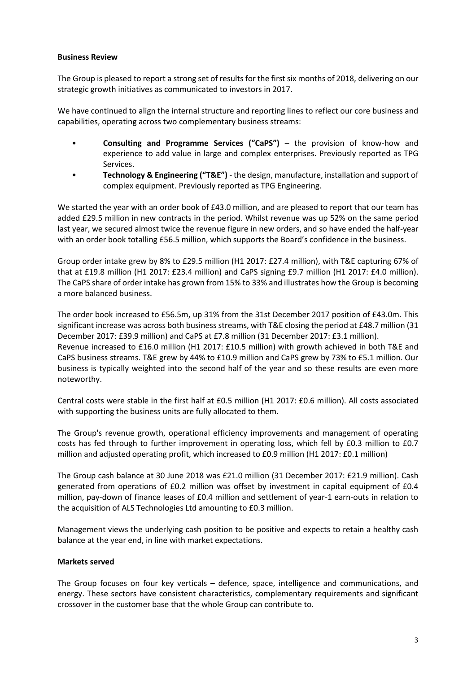## **Business Review**

The Group is pleased to report a strong set of results for the first six months of 2018, delivering on our strategic growth initiatives as communicated to investors in 2017.

We have continued to align the internal structure and reporting lines to reflect our core business and capabilities, operating across two complementary business streams:

- **Consulting and Programme Services ("CaPS")** the provision of know-how and experience to add value in large and complex enterprises. Previously reported as TPG Services.
- **Technology & Engineering ("T&E")** the design, manufacture, installation and support of complex equipment. Previously reported as TPG Engineering.

We started the year with an order book of £43.0 million, and are pleased to report that our team has added £29.5 million in new contracts in the period. Whilst revenue was up 52% on the same period last year, we secured almost twice the revenue figure in new orders, and so have ended the half-year with an order book totalling £56.5 million, which supports the Board's confidence in the business.

Group order intake grew by 8% to £29.5 million (H1 2017: £27.4 million), with T&E capturing 67% of that at £19.8 million (H1 2017: £23.4 million) and CaPS signing £9.7 million (H1 2017: £4.0 million). The CaPS share of order intake has grown from 15% to 33% and illustrates how the Group is becoming a more balanced business.

The order book increased to £56.5m, up 31% from the 31st December 2017 position of £43.0m. This significant increase was across both business streams, with T&E closing the period at £48.7 million (31 December 2017: £39.9 million) and CaPS at £7.8 million (31 December 2017: £3.1 million). Revenue increased to £16.0 million (H1 2017: £10.5 million) with growth achieved in both T&E and CaPS business streams. T&E grew by 44% to £10.9 million and CaPS grew by 73% to £5.1 million. Our business is typically weighted into the second half of the year and so these results are even more noteworthy.

Central costs were stable in the first half at £0.5 million (H1 2017: £0.6 million). All costs associated with supporting the business units are fully allocated to them.

The Group's revenue growth, operational efficiency improvements and management of operating costs has fed through to further improvement in operating loss, which fell by £0.3 million to £0.7 million and adjusted operating profit, which increased to £0.9 million (H1 2017: £0.1 million)

The Group cash balance at 30 June 2018 was £21.0 million (31 December 2017: £21.9 million). Cash generated from operations of £0.2 million was offset by investment in capital equipment of £0.4 million, pay-down of finance leases of £0.4 million and settlement of year-1 earn-outs in relation to the acquisition of ALS Technologies Ltd amounting to £0.3 million.

Management views the underlying cash position to be positive and expects to retain a healthy cash balance at the year end, in line with market expectations.

## **Markets served**

The Group focuses on four key verticals – defence, space, intelligence and communications, and energy. These sectors have consistent characteristics, complementary requirements and significant crossover in the customer base that the whole Group can contribute to.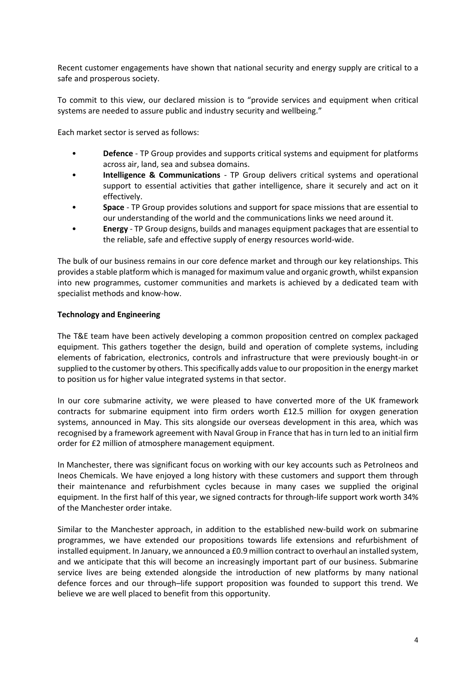Recent customer engagements have shown that national security and energy supply are critical to a safe and prosperous society.

To commit to this view, our declared mission is to "provide services and equipment when critical systems are needed to assure public and industry security and wellbeing."

Each market sector is served as follows:

- **Defence** TP Group provides and supports critical systems and equipment for platforms across air, land, sea and subsea domains.
- **Intelligence & Communications** TP Group delivers critical systems and operational support to essential activities that gather intelligence, share it securely and act on it effectively.
- **Space** TP Group provides solutions and support for space missions that are essential to our understanding of the world and the communications links we need around it.
- **Energy** TP Group designs, builds and manages equipment packages that are essential to the reliable, safe and effective supply of energy resources world-wide.

The bulk of our business remains in our core defence market and through our key relationships. This provides a stable platform which is managed for maximum value and organic growth, whilst expansion into new programmes, customer communities and markets is achieved by a dedicated team with specialist methods and know-how.

## **Technology and Engineering**

The T&E team have been actively developing a common proposition centred on complex packaged equipment. This gathers together the design, build and operation of complete systems, including elements of fabrication, electronics, controls and infrastructure that were previously bought-in or supplied to the customer by others. This specifically adds value to our proposition in the energy market to position us for higher value integrated systems in that sector.

In our core submarine activity, we were pleased to have converted more of the UK framework contracts for submarine equipment into firm orders worth £12.5 million for oxygen generation systems, announced in May. This sits alongside our overseas development in this area, which was recognised by a framework agreement with Naval Group in France that has in turn led to an initial firm order for £2 million of atmosphere management equipment.

In Manchester, there was significant focus on working with our key accounts such as PetroIneos and Ineos Chemicals. We have enjoyed a long history with these customers and support them through their maintenance and refurbishment cycles because in many cases we supplied the original equipment. In the first half of this year, we signed contracts for through-life support work worth 34% of the Manchester order intake.

Similar to the Manchester approach, in addition to the established new-build work on submarine programmes, we have extended our propositions towards life extensions and refurbishment of installed equipment. In January, we announced a £0.9 million contract to overhaul an installed system, and we anticipate that this will become an increasingly important part of our business. Submarine service lives are being extended alongside the introduction of new platforms by many national defence forces and our through–life support proposition was founded to support this trend. We believe we are well placed to benefit from this opportunity.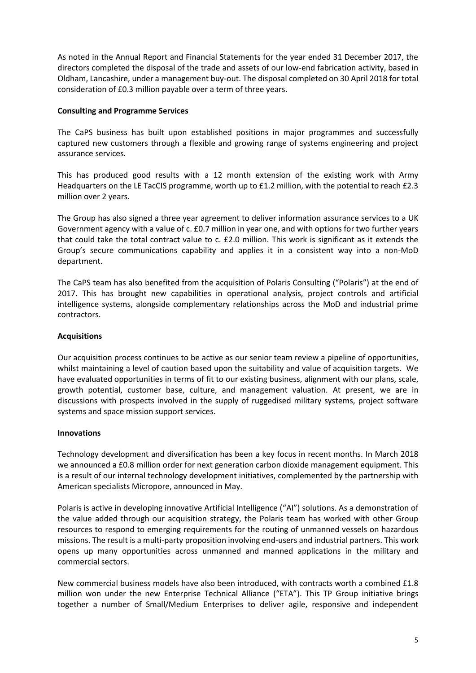As noted in the Annual Report and Financial Statements for the year ended 31 December 2017, the directors completed the disposal of the trade and assets of our low-end fabrication activity, based in Oldham, Lancashire, under a management buy-out. The disposal completed on 30 April 2018 for total consideration of £0.3 million payable over a term of three years.

## **Consulting and Programme Services**

The CaPS business has built upon established positions in major programmes and successfully captured new customers through a flexible and growing range of systems engineering and project assurance services.

This has produced good results with a 12 month extension of the existing work with Army Headquarters on the LE TacCIS programme, worth up to £1.2 million, with the potential to reach £2.3 million over 2 years.

The Group has also signed a three year agreement to deliver information assurance services to a UK Government agency with a value of c. £0.7 million in year one, and with options for two further years that could take the total contract value to c. £2.0 million. This work is significant as it extends the Group's secure communications capability and applies it in a consistent way into a non-MoD department.

The CaPS team has also benefited from the acquisition of Polaris Consulting ("Polaris") at the end of 2017. This has brought new capabilities in operational analysis, project controls and artificial intelligence systems, alongside complementary relationships across the MoD and industrial prime contractors.

## **Acquisitions**

Our acquisition process continues to be active as our senior team review a pipeline of opportunities, whilst maintaining a level of caution based upon the suitability and value of acquisition targets. We have evaluated opportunities in terms of fit to our existing business, alignment with our plans, scale, growth potential, customer base, culture, and management valuation. At present, we are in discussions with prospects involved in the supply of ruggedised military systems, project software systems and space mission support services.

## **Innovations**

Technology development and diversification has been a key focus in recent months. In March 2018 we announced a £0.8 million order for next generation carbon dioxide management equipment. This is a result of our internal technology development initiatives, complemented by the partnership with American specialists Micropore, announced in May.

Polaris is active in developing innovative Artificial Intelligence ("AI") solutions. As a demonstration of the value added through our acquisition strategy, the Polaris team has worked with other Group resources to respond to emerging requirements for the routing of unmanned vessels on hazardous missions. The result is a multi-party proposition involving end-users and industrial partners. This work opens up many opportunities across unmanned and manned applications in the military and commercial sectors.

New commercial business models have also been introduced, with contracts worth a combined £1.8 million won under the new Enterprise Technical Alliance ("ETA"). This TP Group initiative brings together a number of Small/Medium Enterprises to deliver agile, responsive and independent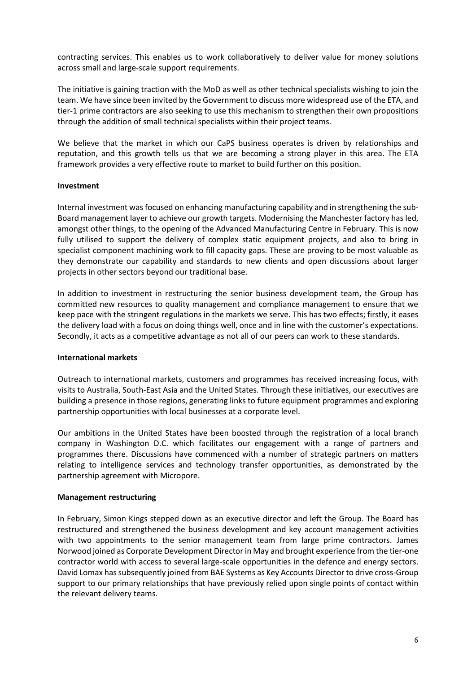contracting services. This enables us to work collaboratively to deliver value for money solutions across small and large-scale support requirements.

The initiative is gaining traction with the MoD as well as other technical specialists wishing to join the team. We have since been invited by the Government to discuss more widespread use of the ETA, and tier-1 prime contractors are also seeking to use this mechanism to strengthen their own propositions through the addition of small technical specialists within their project teams.

We believe that the market in which our CaPS business operates is driven by relationships and reputation, and this growth tells us that we are becoming a strong player in this area. The ETA framework provides a very effective route to market to build further on this position.

## **Investment**

Internal investment was focused on enhancing manufacturing capability and in strengthening the sub-Board management layer to achieve our growth targets. Modernising the Manchester factory has led, amongst other things, to the opening of the Advanced Manufacturing Centre in February. This is now fully utilised to support the delivery of complex static equipment projects, and also to bring in specialist component machining work to fill capacity gaps. These are proving to be most valuable as they demonstrate our capability and standards to new clients and open discussions about larger projects in other sectors beyond our traditional base.

In addition to investment in restructuring the senior business development team, the Group has committed new resources to quality management and compliance management to ensure that we keep pace with the stringent regulations in the markets we serve. This has two effects; firstly, it eases the delivery load with a focus on doing things well, once and in line with the customer's expectations. Secondly, it acts as a competitive advantage as not all of our peers can work to these standards.

## **International markets**

Outreach to international markets, customers and programmes has received increasing focus, with visits to Australia, South-East Asia and the United States. Through these initiatives, our executives are building a presence in those regions, generating links to future equipment programmes and exploring partnership opportunities with local businesses at a corporate level.

Our ambitions in the United States have been boosted through the registration of a local branch company in Washington D.C. which facilitates our engagement with a range of partners and programmes there. Discussions have commenced with a number of strategic partners on matters relating to intelligence services and technology transfer opportunities, as demonstrated by the partnership agreement with Micropore.

### **Management restructuring**

In February, Simon Kings stepped down as an executive director and left the Group. The Board has restructured and strengthened the business development and key account management activities with two appointments to the senior management team from large prime contractors. James Norwood joined as Corporate Development Director in May and brought experience from the tier-one contractor world with access to several large-scale opportunities in the defence and energy sectors. David Lomax has subsequently joined from BAE Systems as Key Accounts Director to drive cross-Group support to our primary relationships that have previously relied upon single points of contact within the relevant delivery teams.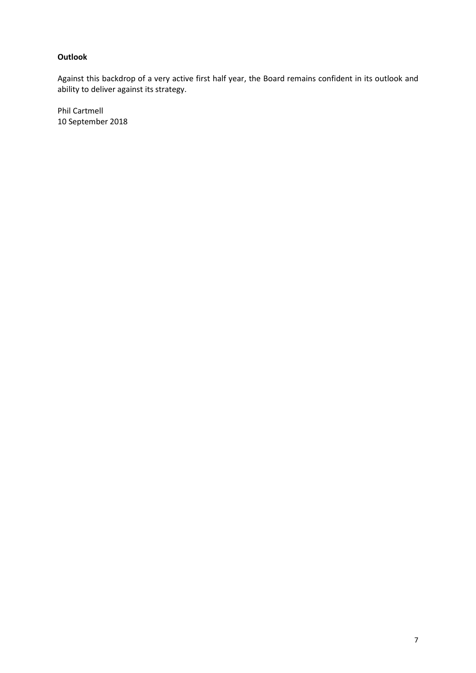## **Outlook**

Against this backdrop of a very active first half year, the Board remains confident in its outlook and ability to deliver against its strategy.

Phil Cartmell 10 September 2018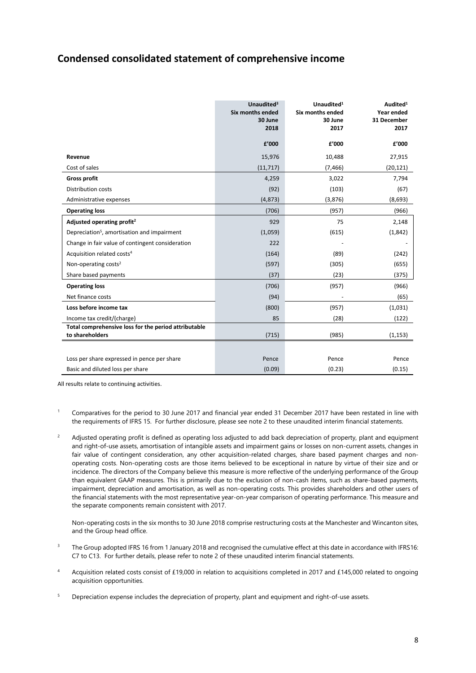## **Condensed consolidated statement of comprehensive income**

|                                                                         | Unaudited <sup>3</sup><br>Six months ended<br>30 June<br>2018 | Unaudited <sup>1</sup><br>Six months ended<br>30 June<br>2017 | Audited <sup>1</sup><br>Year ended<br>31 December<br>2017 |
|-------------------------------------------------------------------------|---------------------------------------------------------------|---------------------------------------------------------------|-----------------------------------------------------------|
|                                                                         | £'000                                                         | £'000                                                         | £'000                                                     |
| Revenue                                                                 | 15,976                                                        | 10,488                                                        | 27,915                                                    |
| Cost of sales                                                           | (11, 717)                                                     | (7, 466)                                                      | (20, 121)                                                 |
| <b>Gross profit</b>                                                     | 4,259                                                         | 3,022                                                         | 7,794                                                     |
| <b>Distribution costs</b>                                               | (92)                                                          | (103)                                                         | (67)                                                      |
| Administrative expenses                                                 | (4,873)                                                       | (3,876)                                                       | (8,693)                                                   |
| <b>Operating loss</b>                                                   | (706)                                                         | (957)                                                         | (966)                                                     |
| Adjusted operating profit <sup>2</sup>                                  | 929                                                           | 75                                                            | 2,148                                                     |
| Depreciation <sup>5</sup> , amortisation and impairment                 | (1,059)                                                       | (615)                                                         | (1,842)                                                   |
| Change in fair value of contingent consideration                        | 222                                                           |                                                               |                                                           |
| Acquisition related costs <sup>4</sup>                                  | (164)                                                         | (89)                                                          | (242)                                                     |
| Non-operating costs <sup>2</sup>                                        | (597)                                                         | (305)                                                         | (655)                                                     |
| Share based payments                                                    | (37)                                                          | (23)                                                          | (375)                                                     |
| <b>Operating loss</b>                                                   | (706)                                                         | (957)                                                         | (966)                                                     |
| Net finance costs                                                       | (94)                                                          |                                                               | (65)                                                      |
| Loss before income tax                                                  | (800)                                                         | (957)                                                         | (1,031)                                                   |
| Income tax credit/(charge)                                              | 85                                                            | (28)                                                          | (122)                                                     |
| Total comprehensive loss for the period attributable<br>to shareholders | (715)                                                         | (985)                                                         | (1, 153)                                                  |
|                                                                         |                                                               |                                                               |                                                           |
| Loss per share expressed in pence per share                             | Pence                                                         | Pence                                                         | Pence                                                     |
| Basic and diluted loss per share                                        | (0.09)                                                        | (0.23)                                                        | (0.15)                                                    |

All results relate to continuing activities.

- <sup>1</sup> Comparatives for the period to 30 June 2017 and financial year ended 31 December 2017 have been restated in line with the requirements of IFRS 15. For further disclosure, please see note 2 to these unaudited interim financial statements.
- $2$  Adjusted operating profit is defined as operating loss adjusted to add back depreciation of property, plant and equipment and right-of-use assets, amortisation of intangible assets and impairment gains or losses on non-current assets, changes in fair value of contingent consideration, any other acquisition-related charges, share based payment charges and nonoperating costs. Non-operating costs are those items believed to be exceptional in nature by virtue of their size and or incidence. The directors of the Company believe this measure is more reflective of the underlying performance of the Group than equivalent GAAP measures. This is primarily due to the exclusion of non-cash items, such as share-based payments, impairment, depreciation and amortisation, as well as non-operating costs. This provides shareholders and other users of the financial statements with the most representative year-on-year comparison of operating performance. This measure and the separate components remain consistent with 2017.

Non-operating costs in the six months to 30 June 2018 comprise restructuring costs at the Manchester and Wincanton sites, and the Group head office.

- <sup>3</sup> The Group adopted IFRS 16 from 1 January 2018 and recognised the cumulative effect at this date in accordance with IFRS16: C7 to C13. For further details, please refer to note 2 of these unaudited interim financial statements.
- Acquisition related costs consist of £19,000 in relation to acquisitions completed in 2017 and £145,000 related to ongoing acquisition opportunities.
- <sup>5</sup> Depreciation expense includes the depreciation of property, plant and equipment and right-of-use assets.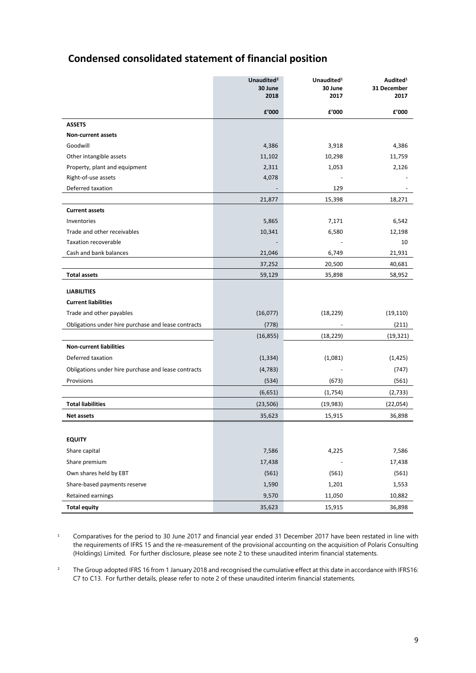# **Condensed consolidated statement of financial position**

|                                                     | Unaudited <sup>2</sup><br>30 June<br>2018 | Unaudited <sup>1</sup><br>30 June<br>2017 | Audited <sup>1</sup><br>31 December<br>2017 |
|-----------------------------------------------------|-------------------------------------------|-------------------------------------------|---------------------------------------------|
|                                                     | f'000                                     | £'000                                     | £'000                                       |
| <b>ASSETS</b>                                       |                                           |                                           |                                             |
| <b>Non-current assets</b>                           |                                           |                                           |                                             |
| Goodwill                                            | 4,386                                     | 3,918                                     | 4,386                                       |
| Other intangible assets                             | 11,102                                    | 10,298                                    | 11,759                                      |
| Property, plant and equipment                       | 2,311                                     | 1,053                                     | 2,126                                       |
| Right-of-use assets                                 | 4,078                                     |                                           |                                             |
| Deferred taxation                                   |                                           | 129                                       |                                             |
|                                                     | 21,877                                    | 15,398                                    | 18,271                                      |
| <b>Current assets</b>                               |                                           |                                           |                                             |
| Inventories                                         | 5,865                                     | 7,171                                     | 6,542                                       |
| Trade and other receivables                         | 10,341                                    | 6,580                                     | 12,198                                      |
| <b>Taxation recoverable</b>                         |                                           |                                           | 10                                          |
| Cash and bank balances                              | 21,046                                    | 6,749                                     | 21,931                                      |
|                                                     | 37,252                                    | 20,500                                    | 40,681                                      |
| <b>Total assets</b>                                 | 59,129                                    | 35,898                                    | 58,952                                      |
| <b>LIABILITIES</b>                                  |                                           |                                           |                                             |
| <b>Current liabilities</b>                          |                                           |                                           |                                             |
| Trade and other payables                            | (16, 077)                                 | (18, 229)                                 | (19, 110)                                   |
| Obligations under hire purchase and lease contracts | (778)                                     |                                           | (211)                                       |
|                                                     | (16, 855)                                 | (18, 229)                                 | (19, 321)                                   |
| <b>Non-current liabilities</b>                      |                                           |                                           |                                             |
| Deferred taxation                                   | (1, 334)                                  | (1,081)                                   | (1, 425)                                    |
| Obligations under hire purchase and lease contracts | (4, 783)                                  |                                           | (747)                                       |
| Provisions                                          | (534)                                     | (673)                                     | (561)                                       |
|                                                     | (6,651)                                   | (1,754)                                   | (2,733)                                     |
| <b>Total liabilities</b>                            | (23, 506)                                 | (19,983)                                  | (22,054)                                    |
| Net assets                                          | 35,623                                    | 15,915                                    | 36,898                                      |
|                                                     |                                           |                                           |                                             |
| <b>EQUITY</b>                                       |                                           |                                           |                                             |
| Share capital                                       | 7,586                                     | 4,225                                     | 7,586                                       |
| Share premium                                       | 17,438                                    |                                           | 17,438                                      |
| Own shares held by EBT                              | (561)                                     | (561)                                     | (561)                                       |
| Share-based payments reserve                        | 1,590                                     | 1,201                                     | 1,553                                       |
| Retained earnings                                   | 9,570                                     | 11,050                                    | 10,882                                      |
| <b>Total equity</b>                                 | 35,623                                    | 15,915                                    | 36,898                                      |

<sup>1</sup> Comparatives for the period to 30 June 2017 and financial year ended 31 December 2017 have been restated in line with the requirements of IFRS 15 and the re-measurement of the provisional accounting on the acquisition of Polaris Consulting (Holdings) Limited. For further disclosure, please see note 2 to these unaudited interim financial statements.

<sup>2</sup> The Group adopted IFRS 16 from 1 January 2018 and recognised the cumulative effect at this date in accordance with IFRS16: C7 to C13. For further details, please refer to note 2 of these unaudited interim financial statements.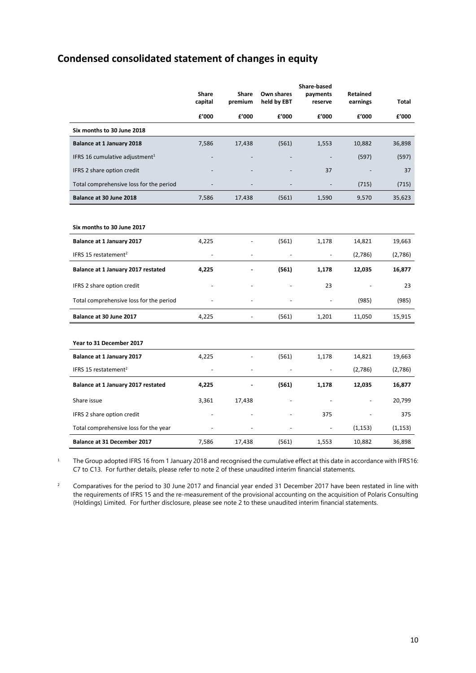# **Condensed consolidated statement of changes in equity**

|                                            | <b>Share</b>   | <b>Share</b> | Own shares     | <b>Share-based</b><br>payments | <b>Retained</b> |          |
|--------------------------------------------|----------------|--------------|----------------|--------------------------------|-----------------|----------|
|                                            | capital        | premium      | held by EBT    | reserve                        | earnings        | Total    |
|                                            | £'000          | £'000        | £'000          | £'000                          | £'000           | £'000    |
| Six months to 30 June 2018                 |                |              |                |                                |                 |          |
| <b>Balance at 1 January 2018</b>           | 7,586          | 17,438       | (561)          | 1,553                          | 10,882          | 36,898   |
| IFRS 16 cumulative adjustment <sup>1</sup> |                |              |                |                                | (597)           | (597)    |
| IFRS 2 share option credit                 |                |              |                | 37                             |                 | 37       |
| Total comprehensive loss for the period    |                |              |                |                                | (715)           | (715)    |
| Balance at 30 June 2018                    | 7,586          | 17,438       | (561)          | 1,590                          | 9,570           | 35,623   |
|                                            |                |              |                |                                |                 |          |
| Six months to 30 June 2017                 |                |              |                |                                |                 |          |
| Balance at 1 January 2017                  | 4,225          |              | (561)          | 1,178                          | 14,821          | 19,663   |
| IFRS 15 restatement <sup>2</sup>           |                |              |                | ÷,                             | (2,786)         | (2,786)  |
| Balance at 1 January 2017 restated         | 4,225          |              | (561)          | 1,178                          | 12,035          | 16,877   |
| IFRS 2 share option credit                 |                |              |                | 23                             |                 | 23       |
| Total comprehensive loss for the period    |                |              |                |                                | (985)           | (985)    |
| Balance at 30 June 2017                    | 4,225          |              | (561)          | 1,201                          | 11,050          | 15,915   |
|                                            |                |              |                |                                |                 |          |
| Year to 31 December 2017                   |                |              |                |                                |                 |          |
| Balance at 1 January 2017                  | 4,225          |              | (561)          | 1,178                          | 14,821          | 19,663   |
| IFRS 15 restatement <sup>2</sup>           | $\blacksquare$ | ÷,           | $\overline{a}$ | $\qquad \qquad \blacksquare$   | (2,786)         | (2,786)  |
| Balance at 1 January 2017 restated         | 4,225          |              | (561)          | 1,178                          | 12,035          | 16,877   |
| Share issue                                | 3,361          | 17,438       |                |                                |                 | 20,799   |
| IFRS 2 share option credit                 |                |              |                | 375                            |                 | 375      |
| Total comprehensive loss for the year      |                |              |                | $\overline{\phantom{a}}$       | (1, 153)        | (1, 153) |
| Balance at 31 December 2017                | 7,586          | 17,438       | (561)          | 1,553                          | 10,882          | 36,898   |

<sup>1</sup> The Group adopted IFRS 16 from 1 January 2018 and recognised the cumulative effect at this date in accordance with IFRS16: C7 to C13. For further details, please refer to note 2 of these unaudited interim financial statements.

<sup>2</sup> Comparatives for the period to 30 June 2017 and financial year ended 31 December 2017 have been restated in line with the requirements of IFRS 15 and the re-measurement of the provisional accounting on the acquisition of Polaris Consulting (Holdings) Limited. For further disclosure, please see note 2 to these unaudited interim financial statements.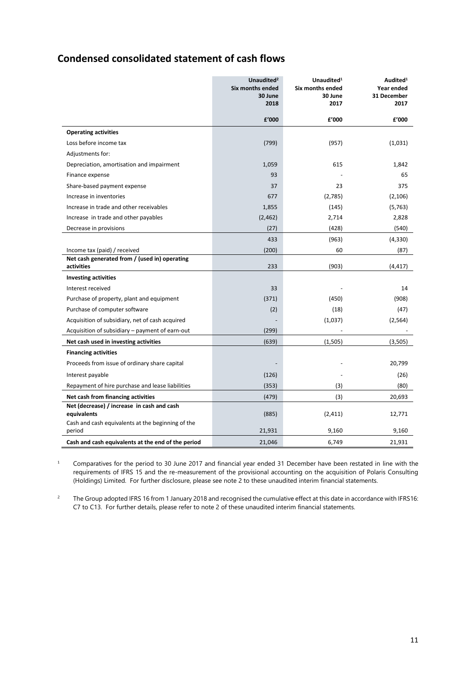# **Condensed consolidated statement of cash flows**

|                                                             | Unaudited <sup>2</sup><br>Six months ended<br>30 June<br>2018 | Unaudited <sup>1</sup><br>Six months ended<br>30 June<br>2017 | Audited <sup>1</sup><br>Year ended<br>31 December<br>2017 |
|-------------------------------------------------------------|---------------------------------------------------------------|---------------------------------------------------------------|-----------------------------------------------------------|
|                                                             | f'000                                                         | £'000                                                         | £'000                                                     |
| <b>Operating activities</b>                                 |                                                               |                                                               |                                                           |
| Loss before income tax                                      | (799)                                                         | (957)                                                         | (1,031)                                                   |
| Adjustments for:                                            |                                                               |                                                               |                                                           |
| Depreciation, amortisation and impairment                   | 1,059                                                         | 615                                                           | 1,842                                                     |
| Finance expense                                             | 93                                                            |                                                               | 65                                                        |
| Share-based payment expense                                 | 37                                                            | 23                                                            | 375                                                       |
| Increase in inventories                                     | 677                                                           | (2,785)                                                       | (2, 106)                                                  |
| Increase in trade and other receivables                     | 1,855                                                         | (145)                                                         | (5, 763)                                                  |
| Increase in trade and other payables                        | (2,462)                                                       | 2,714                                                         | 2,828                                                     |
| Decrease in provisions                                      | (27)                                                          | (428)                                                         | (540)                                                     |
|                                                             | 433                                                           | (963)                                                         | (4, 330)                                                  |
| Income tax (paid) / received                                | (200)                                                         | 60                                                            | (87)                                                      |
| Net cash generated from / (used in) operating<br>activities | 233                                                           | (903)                                                         | (4, 417)                                                  |
| <b>Investing activities</b>                                 |                                                               |                                                               |                                                           |
| Interest received                                           | 33                                                            |                                                               | 14                                                        |
| Purchase of property, plant and equipment                   | (371)                                                         | (450)                                                         | (908)                                                     |
| Purchase of computer software                               | (2)                                                           | (18)                                                          | (47)                                                      |
| Acquisition of subsidiary, net of cash acquired             |                                                               | (1,037)                                                       | (2, 564)                                                  |
| Acquisition of subsidiary - payment of earn-out             | (299)                                                         |                                                               |                                                           |
| Net cash used in investing activities                       | (639)                                                         | (1,505)                                                       | (3,505)                                                   |
| <b>Financing activities</b>                                 |                                                               |                                                               |                                                           |
| Proceeds from issue of ordinary share capital               |                                                               |                                                               | 20,799                                                    |
| Interest payable                                            | (126)                                                         |                                                               | (26)                                                      |
| Repayment of hire purchase and lease liabilities            | (353)                                                         | (3)                                                           | (80)                                                      |
| Net cash from financing activities                          | (479)                                                         | (3)                                                           | 20,693                                                    |
| Net (decrease) / increase in cash and cash<br>equivalents   | (885)                                                         | (2, 411)                                                      | 12,771                                                    |
| Cash and cash equivalents at the beginning of the<br>period | 21,931                                                        | 9,160                                                         | 9,160                                                     |
| Cash and cash equivalents at the end of the period          | 21,046                                                        | 6,749                                                         | 21,931                                                    |

<sup>1</sup> Comparatives for the period to 30 June 2017 and financial year ended 31 December have been restated in line with the requirements of IFRS 15 and the re-measurement of the provisional accounting on the acquisition of Polaris Consulting (Holdings) Limited. For further disclosure, please see note 2 to these unaudited interim financial statements.

<sup>2</sup> The Group adopted IFRS 16 from 1 January 2018 and recognised the cumulative effect at this date in accordance with IFRS16: C7 to C13. For further details, please refer to note 2 of these unaudited interim financial statements.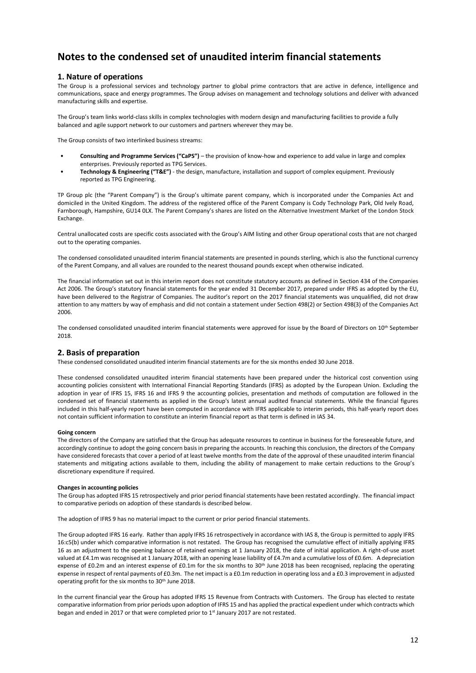### **1. Nature of operations**

The Group is a professional services and technology partner to global prime contractors that are active in defence, intelligence and communications, space and energy programmes. The Group advises on management and technology solutions and deliver with advanced manufacturing skills and expertise.

The Group's team links world-class skills in complex technologies with modern design and manufacturing facilities to provide a fully balanced and agile support network to our customers and partners wherever they may be.

The Group consists of two interlinked business streams:

- **Consulting and Programme Services ("CaPS")** the provision of know-how and experience to add value in large and complex enterprises. Previously reported as TPG Services.
- **Technology & Engineering ("T&E")** the design, manufacture, installation and support of complex equipment. Previously reported as TPG Engineering.

TP Group plc (the "Parent Company") is the Group's ultimate parent company, which is incorporated under the Companies Act and domiciled in the United Kingdom. The address of the registered office of the Parent Company is Cody Technology Park, Old Ively Road, Farnborough, Hampshire, GU14 0LX. The Parent Company's shares are listed on the Alternative Investment Market of the London Stock Exchange.

Central unallocated costs are specific costs associated with the Group's AIM listing and other Group operational costs that are not charged out to the operating companies.

The condensed consolidated unaudited interim financial statements are presented in pounds sterling, which is also the functional currency of the Parent Company, and all values are rounded to the nearest thousand pounds except when otherwise indicated.

The financial information set out in this interim report does not constitute statutory accounts as defined in Section 434 of the Companies Act 2006. The Group's statutory financial statements for the year ended 31 December 2017, prepared under IFRS as adopted by the EU, have been delivered to the Registrar of Companies. The auditor's report on the 2017 financial statements was unqualified, did not draw attention to any matters by way of emphasis and did not contain a statement under Section 498(2) or Section 498(3) of the Companies Act 2006.

The condensed consolidated unaudited interim financial statements were approved for issue by the Board of Directors on  $10^{th}$  September 2018.

### **2. Basis of preparation**

These condensed consolidated unaudited interim financial statements are for the six months ended 30 June 2018.

These condensed consolidated unaudited interim financial statements have been prepared under the historical cost convention using accounting policies consistent with International Financial Reporting Standards (IFRS) as adopted by the European Union. Excluding the adoption in year of IFRS 15, IFRS 16 and IFRS 9 the accounting policies, presentation and methods of computation are followed in the condensed set of financial statements as applied in the Group's latest annual audited financial statements. While the financial figures included in this half-yearly report have been computed in accordance with IFRS applicable to interim periods, this half-yearly report does not contain sufficient information to constitute an interim financial report as that term is defined in IAS 34.

#### **Going concern**

The directors of the Company are satisfied that the Group has adequate resources to continue in business for the foreseeable future, and accordingly continue to adopt the going concern basis in preparing the accounts. In reaching this conclusion, the directors of the Company have considered forecasts that cover a period of at least twelve months from the date of the approval of these unaudited interim financial statements and mitigating actions available to them, including the ability of management to make certain reductions to the Group's discretionary expenditure if required.

#### **Changes in accounting policies**

The Group has adopted IFRS 15 retrospectively and prior period financial statements have been restated accordingly. The financial impact to comparative periods on adoption of these standards is described below.

The adoption of IFRS 9 has no material impact to the current or prior period financial statements.

The Group adopted IFRS 16 early. Rather than apply IFRS 16 retrospectively in accordance with IAS 8, the Group is permitted to apply IFRS 16:c5(b) under which comparative information is not restated. The Group has recognised the cumulative effect of initially applying IFRS 16 as an adjustment to the opening balance of retained earnings at 1 January 2018, the date of initial application. A right-of-use asset valued at £4.1m was recognised at 1 January 2018, with an opening lease liability of £4.7m and a cumulative loss of £0.6m. A depreciation expense of £0.2m and an interest expense of £0.1m for the six months to 30<sup>th</sup> June 2018 has been recognised, replacing the operating expense in respect of rental payments of £0.3m. The net impact is a £0.1m reduction in operating loss and a £0.3 improvement in adjusted operating profit for the six months to 30<sup>th</sup> June 2018.

In the current financial year the Group has adopted IFRS 15 Revenue from Contracts with Customers. The Group has elected to restate comparative information from prior periods upon adoption of IFRS 15 and has applied the practical expedient under which contracts which began and ended in 2017 or that were completed prior to 1<sup>st</sup> January 2017 are not restated.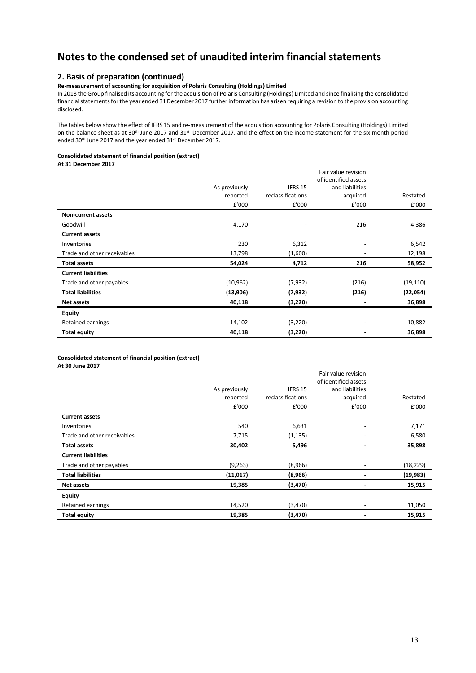## **2. Basis of preparation (continued)**

### **Re-measurement of accounting for acquisition of Polaris Consulting (Holdings) Limited**

In 2018 the Group finalised its accounting for the acquisition of Polaris Consulting (Holdings) Limited and since finalising the consolidated financial statements for the year ended 31 December 2017 further information has arisen requiring a revision to the provision accounting disclosed.

The tables below show the effect of IFRS 15 and re-measurement of the acquisition accounting for Polaris Consulting (Holdings) Limited on the balance sheet as at 30<sup>th</sup> June 2017 and 31<sup>st</sup> December 2017, and the effect on the income statement for the six month period ended 30<sup>th</sup> June 2017 and the year ended 31<sup>st</sup> December 2017.

### **Consolidated statement of financial position (extract)**

**At 31 December 2017**

|                             | As previously<br>reported | IFRS 15<br>reclassifications | Fair value revision<br>of identified assets<br>and liabilities<br>acquired | Restated  |
|-----------------------------|---------------------------|------------------------------|----------------------------------------------------------------------------|-----------|
|                             | £'000                     | £'000                        | £'000                                                                      | £'000     |
| <b>Non-current assets</b>   |                           |                              |                                                                            |           |
| Goodwill                    | 4,170                     | -                            | 216                                                                        | 4,386     |
| <b>Current assets</b>       |                           |                              |                                                                            |           |
| Inventories                 | 230                       | 6,312                        | $\overline{\phantom{a}}$                                                   | 6,542     |
| Trade and other receivables | 13,798                    | (1,600)                      |                                                                            | 12,198    |
| <b>Total assets</b>         | 54,024                    | 4,712                        | 216                                                                        | 58,952    |
| <b>Current liabilities</b>  |                           |                              |                                                                            |           |
| Trade and other payables    | (10, 962)                 | (7, 932)                     | (216)                                                                      | (19, 110) |
| <b>Total liabilities</b>    | (13,906)                  | (7, 932)                     | (216)                                                                      | (22, 054) |
| <b>Net assets</b>           | 40,118                    | (3, 220)                     |                                                                            | 36,898    |
| <b>Equity</b>               |                           |                              |                                                                            |           |
| Retained earnings           | 14,102                    | (3, 220)                     | $\overline{\phantom{a}}$                                                   | 10,882    |
| <b>Total equity</b>         | 40,118                    | (3, 220)                     |                                                                            | 36,898    |

**Consolidated statement of financial position (extract) At 30 June 2017**

|                             |               |                   | Fair value revision  |           |
|-----------------------------|---------------|-------------------|----------------------|-----------|
|                             |               |                   | of identified assets |           |
|                             | As previously | IFRS 15           | and liabilities      |           |
|                             | reported      | reclassifications | acquired             | Restated  |
|                             | £'000         | £'000             | £'000                | £'000     |
| <b>Current assets</b>       |               |                   |                      |           |
| Inventories                 | 540           | 6,631             | ٠                    | 7,171     |
| Trade and other receivables | 7,715         | (1, 135)          | -                    | 6,580     |
| <b>Total assets</b>         | 30,402        | 5,496             | -                    | 35,898    |
| <b>Current liabilities</b>  |               |                   |                      |           |
| Trade and other payables    | (9, 263)      | (8,966)           | ٠                    | (18, 229) |
| <b>Total liabilities</b>    | (11, 017)     | (8,966)           |                      | (19, 983) |
| <b>Net assets</b>           | 19,385        | (3, 470)          |                      | 15,915    |
| <b>Equity</b>               |               |                   |                      |           |
| Retained earnings           | 14,520        | (3, 470)          | ٠                    | 11,050    |
| <b>Total equity</b>         | 19,385        | (3, 470)          |                      | 15,915    |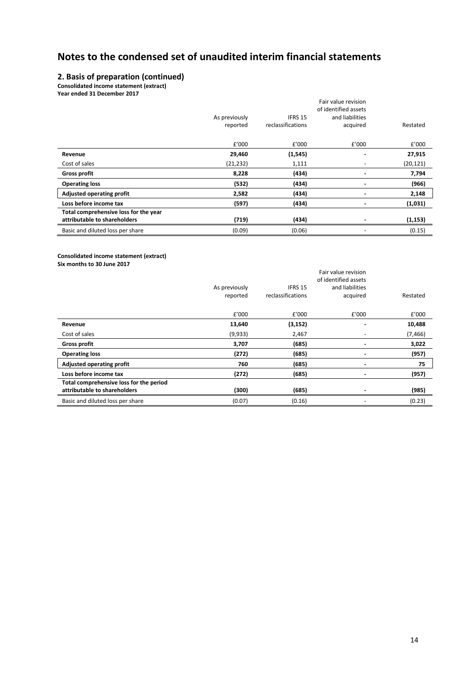## **2. Basis of preparation (continued)**

**Consolidated income statement (extract)**

**Year ended 31 December 2017**

|                                                                       |                           |                              | Fair value revision<br>of identified assets |           |
|-----------------------------------------------------------------------|---------------------------|------------------------------|---------------------------------------------|-----------|
|                                                                       | As previously<br>reported | IFRS 15<br>reclassifications | and liabilities<br>acquired                 | Restated  |
|                                                                       | £'000                     | £'000                        | £'000                                       | £'000     |
| Revenue                                                               | 29,460                    | (1, 545)                     |                                             | 27,915    |
| Cost of sales                                                         | (21, 232)                 | 1,111                        |                                             | (20, 121) |
| <b>Gross profit</b>                                                   | 8,228                     | (434)                        | $\overline{\phantom{0}}$                    | 7,794     |
| <b>Operating loss</b>                                                 | (532)                     | (434)                        |                                             | (966)     |
| Adjusted operating profit                                             | 2,582                     | (434)                        |                                             | 2,148     |
| Loss before income tax                                                | (597)                     | (434)                        | $\overline{\phantom{0}}$                    | (1,031)   |
| Total comprehensive loss for the year<br>attributable to shareholders | (719)                     | (434)                        |                                             | (1, 153)  |
| Basic and diluted loss per share                                      | (0.09)                    | (0.06)                       | $\overline{\phantom{0}}$                    | (0.15)    |

**Consolidated income statement (extract) Six months to 30 June 2017**

|                                                                         |                           |                              | Fair value revision<br>of identified assets |          |
|-------------------------------------------------------------------------|---------------------------|------------------------------|---------------------------------------------|----------|
|                                                                         | As previously<br>reported | IFRS 15<br>reclassifications | and liabilities<br>acquired                 | Restated |
|                                                                         | £'000                     | £'000                        | £'000                                       | £'000    |
| Revenue                                                                 | 13,640                    | (3, 152)                     |                                             | 10,488   |
| Cost of sales                                                           | (9,933)                   | 2,467                        |                                             | (7, 466) |
| <b>Gross profit</b>                                                     | 3,707                     | (685)                        |                                             | 3,022    |
| <b>Operating loss</b>                                                   | (272)                     | (685)                        | ۰                                           | (957)    |
| <b>Adjusted operating profit</b>                                        | 760                       | (685)                        | $\overline{\phantom{0}}$                    | 75       |
| Loss before income tax                                                  | (272)                     | (685)                        | $\overline{\phantom{0}}$                    | (957)    |
| Total comprehensive loss for the period<br>attributable to shareholders | (300)                     | (685)                        |                                             | (985)    |
| Basic and diluted loss per share                                        | (0.07)                    | (0.16)                       | $\overline{\phantom{a}}$                    | (0.23)   |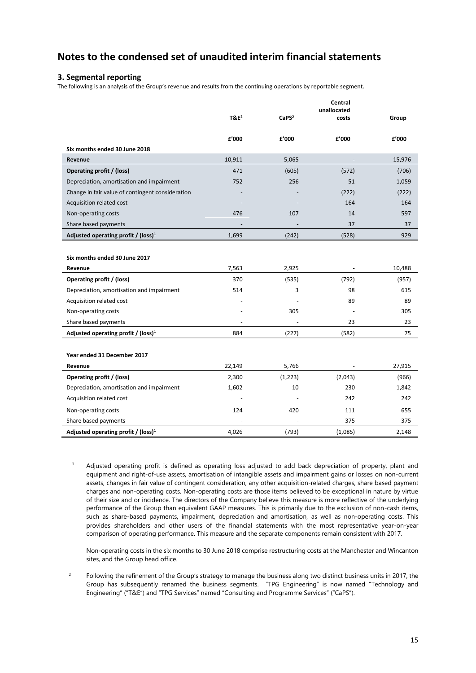### **3. Segmental reporting**

The following is an analysis of the Group's revenue and results from the continuing operations by reportable segment.

|                                                  |         |                   | Central<br>unallocated |        |
|--------------------------------------------------|---------|-------------------|------------------------|--------|
|                                                  | $T&E^2$ | CaPS <sup>2</sup> | costs                  | Group  |
|                                                  |         |                   |                        |        |
| Six months ended 30 June 2018                    | £'000   | £'000             | £'000                  | £'000  |
| Revenue                                          | 10,911  | 5,065             | $\frac{1}{2}$          | 15,976 |
| Operating profit / (loss)                        | 471     | (605)             | (572)                  | (706)  |
| Depreciation, amortisation and impairment        | 752     | 256               | 51                     | 1,059  |
| Change in fair value of contingent consideration |         |                   | (222)                  | (222)  |
| Acquisition related cost                         |         |                   | 164                    | 164    |
|                                                  | 476     | 107               | 14                     | 597    |
| Non-operating costs                              |         |                   |                        |        |
| Share based payments                             |         |                   | 37                     | 37     |
| Adjusted operating profit / (loss) <sup>1</sup>  | 1,699   | (242)             | (528)                  | 929    |
|                                                  |         |                   |                        |        |
| Six months ended 30 June 2017                    |         |                   |                        |        |
| Revenue                                          | 7,563   | 2,925             |                        | 10,488 |
| Operating profit / (loss)                        | 370     | (535)             | (792)                  | (957)  |
| Depreciation, amortisation and impairment        | 514     | 3                 | 98                     | 615    |
| Acquisition related cost                         |         |                   | 89                     | 89     |
| Non-operating costs                              |         | 305               |                        | 305    |
| Share based payments                             |         |                   | 23                     | 23     |
| Adjusted operating profit / (loss) <sup>1</sup>  | 884     | (227)             | (582)                  | 75     |
|                                                  |         |                   |                        |        |
| Year ended 31 December 2017                      |         |                   |                        |        |
| Revenue                                          | 22,149  | 5,766             |                        | 27,915 |
| Operating profit / (loss)                        | 2,300   | (1,223)           | (2,043)                | (966)  |
| Depreciation, amortisation and impairment        | 1,602   | 10                | 230                    | 1,842  |
| Acquisition related cost                         |         |                   | 242                    | 242    |
| Non-operating costs                              | 124     | 420               | 111                    | 655    |
| Share based payments                             |         |                   | 375                    | 375    |
| Adjusted operating profit / (loss) <sup>1</sup>  | 4,026   | (793)             | (1,085)                | 2,148  |
|                                                  |         |                   |                        |        |

<sup>1</sup> Adjusted operating profit is defined as operating loss adjusted to add back depreciation of property, plant and equipment and right-of-use assets, amortisation of intangible assets and impairment gains or losses on non-current assets, changes in fair value of contingent consideration, any other acquisition-related charges, share based payment charges and non-operating costs. Non-operating costs are those items believed to be exceptional in nature by virtue of their size and or incidence. The directors of the Company believe this measure is more reflective of the underlying performance of the Group than equivalent GAAP measures. This is primarily due to the exclusion of non-cash items, such as share-based payments, impairment, depreciation and amortisation, as well as non-operating costs. This provides shareholders and other users of the financial statements with the most representative year-on-year comparison of operating performance. This measure and the separate components remain consistent with 2017.

Non-operating costs in the six months to 30 June 2018 comprise restructuring costs at the Manchester and Wincanton sites, and the Group head office.

<sup>2</sup> Following the refinement of the Group's strategy to manage the business along two distinct business units in 2017, the Group has subsequently renamed the business segments. "TPG Engineering" is now named "Technology and Engineering" ("T&E") and "TPG Services" named "Consulting and Programme Services" ("CaPS").